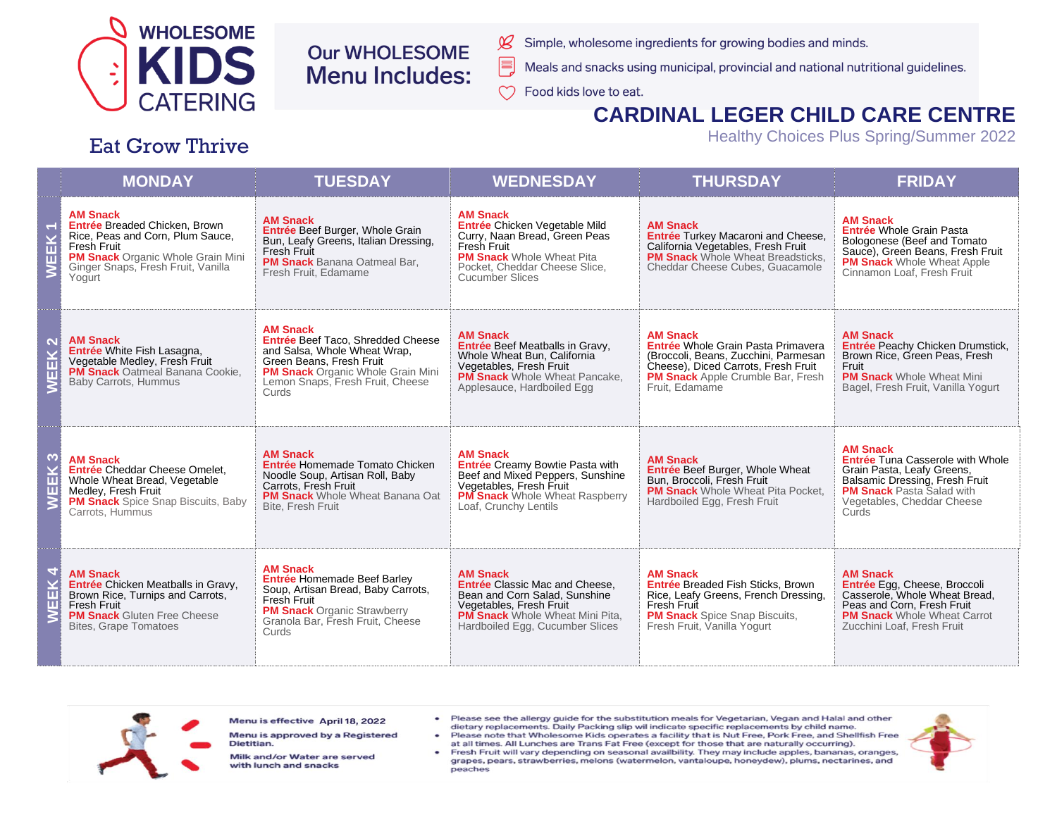

# **Our WHOLESOME Menu Includes:**

- Simple, wholesome ingredients for growing bodies and minds.
- Meals and snacks using municipal, provincial and national nutritional guidelines.
- $\infty$ Food kids love to eat.

 $\cancel{\mathcal{L}}$ 

E,

## **CARDINAL LEGER CHILD CARE CENTRE**

Healthy Choices Plus Spring/Summer 2022

#### Eat Grow Thrive

|        | <b>MONDAY</b>                                                                                                                                                                                          | <b>TUESDAY</b>                                                                                                                                                                                            | <b>WEDNESDAY</b>                                                                                                                                                                                  | <b>THURSDAY</b>                                                                                                                                                                                    | <b>FRIDAY</b>                                                                                                                                                                                         |
|--------|--------------------------------------------------------------------------------------------------------------------------------------------------------------------------------------------------------|-----------------------------------------------------------------------------------------------------------------------------------------------------------------------------------------------------------|---------------------------------------------------------------------------------------------------------------------------------------------------------------------------------------------------|----------------------------------------------------------------------------------------------------------------------------------------------------------------------------------------------------|-------------------------------------------------------------------------------------------------------------------------------------------------------------------------------------------------------|
|        | <b>AM Snack</b><br>Entrée Breaded Chicken, Brown<br>Rice, Peas and Corn, Plum Sauce,<br><b>Fresh Fruit</b><br><b>PM Snack Organic Whole Grain Mini</b><br>Ginger Snaps, Fresh Fruit, Vanilla<br>Yogurt | <b>AM Snack</b><br>Entrée Beef Burger, Whole Grain<br>Bun, Leafy Greens, Italian Dressing,<br><b>Fresh Fruit</b><br><b>PM Snack</b> Banana Oatmeal Bar,<br>Fresh Fruit, Edamame                           | <b>AM Snack</b><br>Entrée Chicken Vegetable Mild<br>Curry, Naan Bread, Green Peas<br>Fresh Fruit<br><b>PM Snack</b> Whole Wheat Pita<br>Pocket, Cheddar Cheese Slice,<br><b>Cucumber Slices</b>   | <b>AM Snack</b><br><b>Entrée Turkey Macaroni and Cheese,</b><br>California Vegetables, Fresh Fruit<br><b>PM Snack</b> Whole Wheat Breadsticks.<br>Cheddar Cheese Cubes, Guacamole                  | <b>AM Snack</b><br>Entrée Whole Grain Pasta<br>Bologonese (Beef and Tomato<br>Sauce), Green Beans, Fresh Fruit<br><b>PM Snack</b> Whole Wheat Apple<br>Cinnamon Loaf, Fresh Fruit                     |
|        | <b>AM Snack</b><br>Entrée White Fish Lasagna,<br>Vegetable Medley, Fresh Fruit<br><b>PM Snack</b> Oatmeal Banana Cookie.<br>Baby Carrots, Hummus                                                       | <b>AM Snack</b><br>Entrée Beef Taco, Shredded Cheese<br>and Salsa, Whole Wheat Wrap,<br>Green Beans, Fresh Fruit<br><b>PM Snack</b> Organic Whole Grain Mini<br>Lemon Snaps, Fresh Fruit, Cheese<br>Curds | <b>AM Snack</b><br>Entrée Beef Meatballs in Gravy,<br>Whole Wheat Bun, California<br>Vegetables, Fresh Fruit<br><b>PM Snack</b> Whole Wheat Pancake,<br>Applesauce, Hardboiled Egg                | <b>AM Snack</b><br>Entrée Whole Grain Pasta Primavera<br>(Broccoli, Beans, Zucchini, Parmesan<br>Cheese), Diced Carrots, Fresh Fruit<br><b>PM Snack</b> Apple Crumble Bar, Fresh<br>Fruit. Edamame | <b>AM Snack</b><br>Entrée Peachy Chicken Drumstick.<br>Brown Rice, Green Peas, Fresh<br>Fruit<br><b>PM Snack Whole Wheat Mini</b><br>Bagel, Fresh Fruit, Vanilla Yogurt                               |
| ო<br>ш | <b>AM Snack</b><br>Entrée Cheddar Cheese Omelet.<br>Whole Wheat Bread, Vegetable<br>Medley, Fresh Fruit<br><b>PM Snack</b> Spice Snap Biscuits, Baby<br>Carrots, Hummus                                | <b>AM Snack</b><br>Entrée Homemade Tomato Chicken<br>Noodle Soup, Artisan Roll, Baby<br>Carrots, Fresh Fruit<br><b>PM Snack</b> Whole Wheat Banana Oat<br>Bite, Fresh Fruit                               | <b>AM Snack</b><br>Entrée Creamy Bowtie Pasta with<br>Beef and Mixed Peppers, Sunshine<br>Vegetables, Fresh Fruit<br><b>PM Snack</b> Whole Wheat Raspberry<br>Loaf, Crunchy Lentils               | <b>AM Snack</b><br>Entrée Beef Burger, Whole Wheat<br>Bun, Broccoli, Fresh Fruit<br><b>PM Snack</b> Whole Wheat Pita Pocket.<br>Hardboiled Egg, Fresh Fruit                                        | <b>AM Snack</b><br><b>Entrée Tuna Casserole with Whole</b><br>Grain Pasta, Leafy Greens,<br>Balsamic Dressing, Fresh Fruit<br><b>PM Snack Pasta Salad with</b><br>Vegetables, Cheddar Cheese<br>Curds |
| ш<br>π | <b>AM Snack</b><br>Entrée Chicken Meatballs in Gravy,<br>Brown Rice, Turnips and Carrots,<br>Fresh Fruit<br><b>PM Snack</b> Gluten Free Cheese<br><b>Bites, Grape Tomatoes</b>                         | <b>AM Snack</b><br><b>Entrée Homemade Beef Barley</b><br>Soup, Artisan Bread, Baby Carrots,<br><b>Fresh Fruit</b><br><b>PM Snack Organic Strawberry</b><br>Granola Bar, Fresh Fruit, Cheese<br>Curds      | <b>AM Snack</b><br><b>Entrée Classic Mac and Cheese.</b><br>Bean and Corn Salad, Sunshine<br>Vegetables, Fresh Fruit<br><b>PM Snack</b> Whole Wheat Mini Pita.<br>Hardboiled Egg, Cucumber Slices | <b>AM Snack</b><br><b>Entrée Breaded Fish Sticks, Brown</b><br>Rice, Leafy Greens, French Dressing,<br>Fresh Fruit<br><b>PM Snack</b> Spice Snap Biscuits,<br>Fresh Fruit, Vanilla Yogurt          | <b>AM Snack</b><br>Entrée Egg, Cheese, Broccoli<br>Casserole, Whole Wheat Bread,<br>Peas and Corn, Fresh Fruit<br><b>PM Snack</b> Whole Wheat Carrot<br>Zucchini Loaf, Fresh Fruit                    |



| Menu is effective April 18, 2022 |  |  |
|----------------------------------|--|--|
|----------------------------------|--|--|

Menu is approved by a Registered Dietitian.

Milk and/or Water are served with lunch and snacks

- Please see the allergy guide for the substitution meals for Vegetarian, Vegan and Halal and other dietary replacements. Daily Packing slip wil indicate specific replacements by child name.
- Please note that Wholesome Kids operates a facility that is Nut Free, Pork Free, and Shellfish Free at all times. All Lunches are Trans Fat Free (except for those that are naturally occurring).
- Fresh Fruit will vary depending on seasonal availbility. They may include apples, bananas, oranges, grapes, pears, strawberries, melons (watermelon, vantaloupe, honeydew), plums, nectarines, and peaches